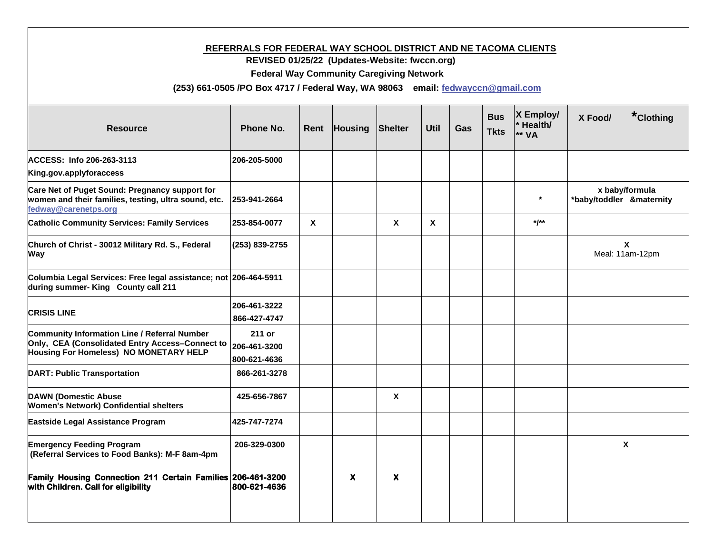## **REFERRALS FOR FEDERAL WAY SCHOOL DISTRICT AND NE TACOMA CLIENTS**

 **REVISED 01/25/22 (Updates-Website: fwccn.org)**

 **Federal Way Community Caregiving Network**

 **(253) 661-0505 /PO Box 4717 / Federal Way, WA 98063 email: [fedwayccn@gmail.com](mailto:fedwayccn@gmail.com)**

| <b>Resource</b>                                                                                                                           | Phone No.                              | Rent         | <b>Housing</b> | Shelter                   | <b>Util</b>  | Gas | <b>Bus</b><br><b>Tkts</b> | $X$ Employ/<br>Health/<br>** VA | *Clothing<br>X Food/                         |
|-------------------------------------------------------------------------------------------------------------------------------------------|----------------------------------------|--------------|----------------|---------------------------|--------------|-----|---------------------------|---------------------------------|----------------------------------------------|
| ACCESS: Info 206-263-3113<br>King.gov.applyforaccess                                                                                      | 206-205-5000                           |              |                |                           |              |     |                           |                                 |                                              |
| Care Net of Puget Sound: Pregnancy support for<br>women and their families, testing, ultra sound, etc.<br>fedway@carenetps.org            | 253-941-2664                           |              |                |                           |              |     |                           |                                 | x baby/formula<br>*baby/toddler &maternity   |
| <b>Catholic Community Services: Family Services</b>                                                                                       | 253-854-0077                           | $\mathbf{x}$ |                | $\boldsymbol{\mathsf{X}}$ | $\mathbf{x}$ |     |                           | $*$ /**                         |                                              |
| Church of Christ - 30012 Military Rd. S., Federal<br>Way                                                                                  | (253) 839-2755                         |              |                |                           |              |     |                           |                                 | $\boldsymbol{\mathsf{X}}$<br>Meal: 11am-12pm |
| Columbia Legal Services: Free legal assistance; not 206-464-5911<br>during summer- King County call 211                                   |                                        |              |                |                           |              |     |                           |                                 |                                              |
| <b>CRISIS LINE</b>                                                                                                                        | 206-461-3222<br>866-427-4747           |              |                |                           |              |     |                           |                                 |                                              |
| Community Information Line / Referral Number<br>Only, CEA (Consolidated Entry Access-Connect to<br>Housing For Homeless) NO MONETARY HELP | 211 or<br>206-461-3200<br>800-621-4636 |              |                |                           |              |     |                           |                                 |                                              |
| <b>DART: Public Transportation</b>                                                                                                        | 866-261-3278                           |              |                |                           |              |     |                           |                                 |                                              |
| <b>DAWN (Domestic Abuse</b><br><b>Women's Network) Confidential shelters</b>                                                              | 425-656-7867                           |              |                | $\boldsymbol{\mathsf{x}}$ |              |     |                           |                                 |                                              |
| Eastside Legal Assistance Program                                                                                                         | 425-747-7274                           |              |                |                           |              |     |                           |                                 |                                              |
| <b>Emergency Feeding Program</b><br>(Referral Services to Food Banks): M-F 8am-4pm                                                        | 206-329-0300                           |              |                |                           |              |     |                           |                                 | $\mathbf x$                                  |
| Family Housing Connection 211 Certain Families 206-461-3200<br>with Children. Call for eligibility                                        | 800-621-4636                           |              | $\mathbf{x}$   | $\boldsymbol{\mathsf{x}}$ |              |     |                           |                                 |                                              |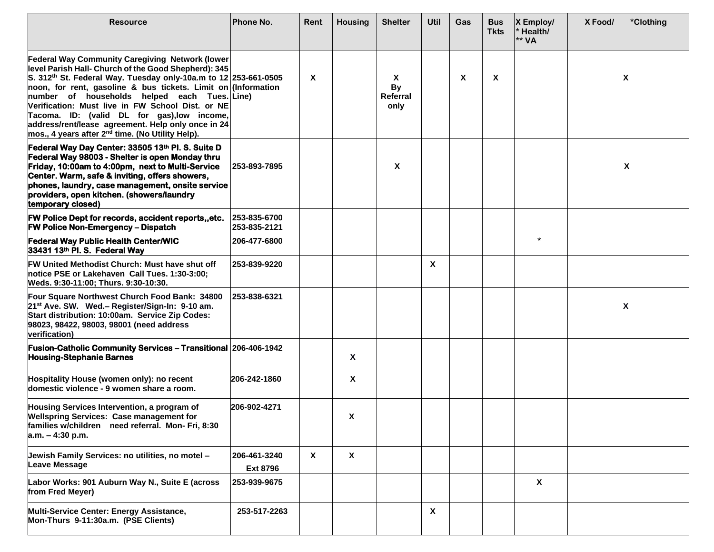| <b>Resource</b>                                                                                                                                                                                                                                                                                                                                                                                                                                                                                                             | Phone No.                       | Rent         | <b>Housing</b>            | <b>Shelter</b>                     | Util | Gas | <b>Bus</b><br><b>Tkts</b> | $X$ Employ/<br>Health/<br>** VA | X Food/ | *Clothing |
|-----------------------------------------------------------------------------------------------------------------------------------------------------------------------------------------------------------------------------------------------------------------------------------------------------------------------------------------------------------------------------------------------------------------------------------------------------------------------------------------------------------------------------|---------------------------------|--------------|---------------------------|------------------------------------|------|-----|---------------------------|---------------------------------|---------|-----------|
| <b>Federal Way Community Caregiving Network (lower</b><br>level Parish Hall- Church of the Good Shepherd): 345<br>S. 312th St. Federal Way. Tuesday only-10a.m to 12 253-661-0505<br>noon, for rent, gasoline & bus tickets. Limit on (Information<br>number of households helped each Tues. Line)<br>Verification: Must live in FW School Dist. or NE<br>Tacoma. ID: (valid DL for gas), low income,<br>address/rent/lease agreement. Help only once in 24<br>mos., 4 years after 2 <sup>nd</sup> time. (No Utility Help). |                                 | $\mathsf{x}$ |                           | X<br><b>By</b><br>Referral<br>only |      | X   | X                         |                                 |         | X         |
| Federal Way Day Center: 33505 13th Pl. S. Suite D<br>Federal Way 98003 - Shelter is open Monday thru<br>Friday, 10:00am to 4:00pm, next to Multi-Service<br>Center. Warm, safe & inviting, offers showers,<br>phones, laundry, case management, onsite service<br>providers, open kitchen. (showers/laundry<br>temporary closed)                                                                                                                                                                                            | 253-893-7895                    |              |                           | X                                  |      |     |                           |                                 |         | X         |
| FW Police Dept for records, accident reports,, etc.<br><b>FW Police Non-Emergency - Dispatch</b>                                                                                                                                                                                                                                                                                                                                                                                                                            | 253-835-6700<br>253-835-2121    |              |                           |                                    |      |     |                           |                                 |         |           |
| <b>Federal Way Public Health Center/WIC</b><br>33431 13th Pl. S. Federal Way                                                                                                                                                                                                                                                                                                                                                                                                                                                | 206-477-6800                    |              |                           |                                    |      |     |                           | $\star$                         |         |           |
| FW United Methodist Church: Must have shut off<br>notice PSE or Lakehaven Call Tues. 1:30-3:00;<br>Weds. 9:30-11:00; Thurs. 9:30-10:30.                                                                                                                                                                                                                                                                                                                                                                                     | 253-839-9220                    |              |                           |                                    | X    |     |                           |                                 |         |           |
| Four Square Northwest Church Food Bank: 34800<br>21 <sup>st</sup> Ave. SW. Wed.- Register/Sign-In: 9-10 am.<br>Start distribution: 10:00am. Service Zip Codes:<br>98023, 98422, 98003, 98001 (need address<br>verification)                                                                                                                                                                                                                                                                                                 | 253-838-6321                    |              |                           |                                    |      |     |                           |                                 |         | X         |
| <b>Fusion-Catholic Community Services - Transitional 206-406-1942</b><br><b>Housing-Stephanie Barnes</b>                                                                                                                                                                                                                                                                                                                                                                                                                    |                                 |              | X                         |                                    |      |     |                           |                                 |         |           |
| Hospitality House (women only): no recent<br>domestic violence - 9 women share a room.                                                                                                                                                                                                                                                                                                                                                                                                                                      | 206-242-1860                    |              | X                         |                                    |      |     |                           |                                 |         |           |
| Housing Services Intervention, a program of<br><b>Wellspring Services: Case management for</b><br>families w/children need referral. Mon- Fri, 8:30<br>$a.m. - 4:30 p.m.$                                                                                                                                                                                                                                                                                                                                                   | 206-902-4271                    |              | X                         |                                    |      |     |                           |                                 |         |           |
| Jewish Family Services: no utilities, no motel -<br>Leave Message                                                                                                                                                                                                                                                                                                                                                                                                                                                           | 206-461-3240<br><b>Ext 8796</b> | X            | $\boldsymbol{\mathsf{X}}$ |                                    |      |     |                           |                                 |         |           |
| Labor Works: 901 Auburn Way N., Suite E (across<br>from Fred Meyer)                                                                                                                                                                                                                                                                                                                                                                                                                                                         | 253-939-9675                    |              |                           |                                    |      |     |                           | X                               |         |           |
| Multi-Service Center: Energy Assistance,<br>Mon-Thurs 9-11:30a.m. (PSE Clients)                                                                                                                                                                                                                                                                                                                                                                                                                                             | 253-517-2263                    |              |                           |                                    | X    |     |                           |                                 |         |           |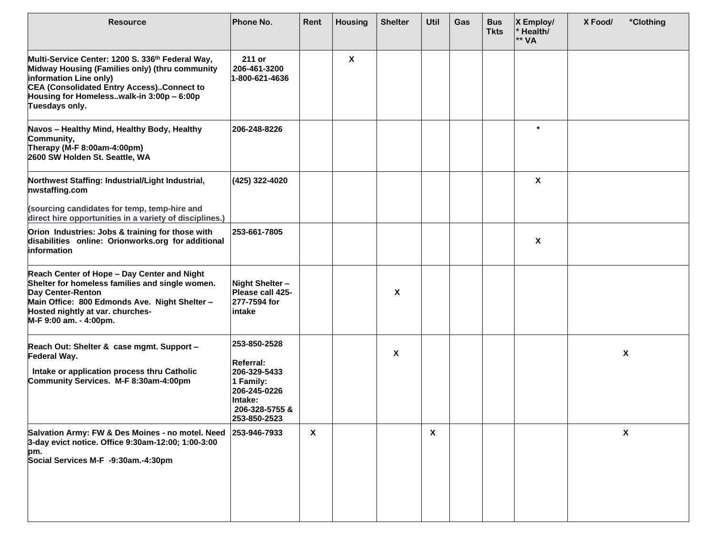| <b>Resource</b>                                                                                                                                                                                                                          | Phone No.                                                                                                                  | Rent                      | <b>Housing</b> | <b>Shelter</b> | Util                      | Gas | <b>Bus</b><br><b>Tkts</b> | $X$ Employ/<br>Health/<br>** VA | X Food/<br>*Clothing |
|------------------------------------------------------------------------------------------------------------------------------------------------------------------------------------------------------------------------------------------|----------------------------------------------------------------------------------------------------------------------------|---------------------------|----------------|----------------|---------------------------|-----|---------------------------|---------------------------------|----------------------|
| Multi-Service Center: 1200 S. 336th Federal Way,<br>Midway Housing (Families only) (thru community<br>information Line only)<br>CEA (Consolidated Entry Access)Connect to<br>Housing for Homelesswalk-in 3:00p - 6:00p<br>Tuesdays only. | 211 or<br>206-461-3200<br>1-800-621-4636                                                                                   |                           | X              |                |                           |     |                           |                                 |                      |
| Navos - Healthy Mind, Healthy Body, Healthy<br>Community,<br>Therapy (M-F 8:00am-4:00pm)<br>2600 SW Holden St. Seattle, WA                                                                                                               | 206-248-8226                                                                                                               |                           |                |                |                           |     |                           | $\star$                         |                      |
| Northwest Staffing: Industrial/Light Industrial,<br>nwstaffing.com<br>(sourcing candidates for temp, temp-hire and                                                                                                                       | (425) 322-4020                                                                                                             |                           |                |                |                           |     |                           | $\boldsymbol{\mathsf{X}}$       |                      |
| direct hire opportunities in a variety of disciplines.)                                                                                                                                                                                  |                                                                                                                            |                           |                |                |                           |     |                           |                                 |                      |
| Orion Industries: Jobs & training for those with<br>disabilities online: Orionworks.org for additional<br>information                                                                                                                    | 253-661-7805                                                                                                               |                           |                |                |                           |     |                           | $\boldsymbol{\mathsf{x}}$       |                      |
| Reach Center of Hope - Day Center and Night<br>Shelter for homeless families and single women.<br>Day Center-Renton<br>Main Office: 800 Edmonds Ave. Night Shelter -<br>Hosted nightly at var. churches-<br>M-F 9:00 am. - 4:00pm.       | Night Shelter-<br>Please call 425-<br>277-7594 for<br>intake                                                               |                           |                | X              |                           |     |                           |                                 |                      |
| Reach Out: Shelter & case mgmt. Support -<br>Federal Way.<br>Intake or application process thru Catholic<br>Community Services. M-F 8:30am-4:00pm                                                                                        | 253-850-2528<br><b>Referral:</b><br>206-329-5433<br>1 Family:<br>206-245-0226<br>Intake:<br>206-328-5755 &<br>253-850-2523 |                           |                | X              |                           |     |                           |                                 | $\pmb{\chi}$         |
| Salvation Army: FW & Des Moines - no motel. Need<br>3-day evict notice. Office 9:30am-12:00; 1:00-3:00<br>pm.<br>Social Services M-F -9:30am.-4:30pm                                                                                     | 253-946-7933                                                                                                               | $\boldsymbol{\mathsf{X}}$ |                |                | $\boldsymbol{\mathsf{X}}$ |     |                           |                                 | X                    |